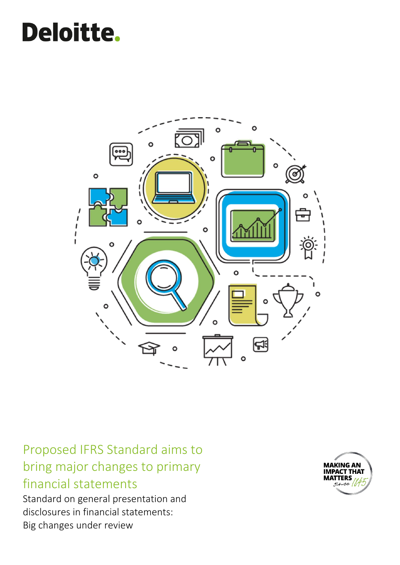# **Deloitte.**



Proposed IFRS Standard aims to bring major changes to primary financial statements

Standard on general presentation and disclosures in financial statements: Big changes under review

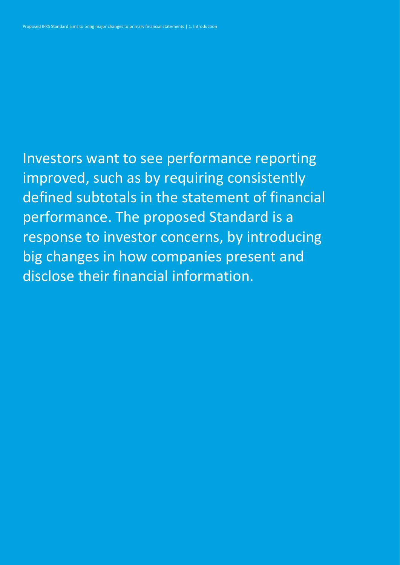Investors want to see performance reporting improved, such as by requiring consistently defined subtotals in the statement of financial performance. The proposed Standard is a response to investor concerns, by introducing big changes in how companies present and disclose their financial information.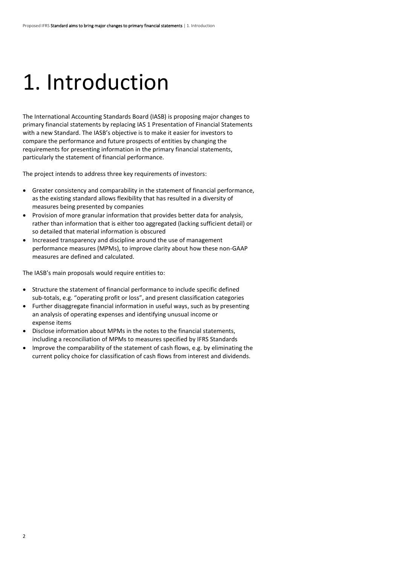## 1. Introduction

The International Accounting Standards Board (IASB) is proposing major changes to primary financial statements by replacing IAS 1 Presentation of Financial Statements with a new Standard. The IASB's objective is to make it easier for investors to compare the performance and future prospects of entities by changing the requirements for presenting information in the primary financial statements, particularly the statement of financial performance.

The project intends to address three key requirements of investors:

- Greater consistency and comparability in the statement of financial performance, as the existing standard allows flexibility that has resulted in a diversity of measures being presented by companies
- Provision of more granular information that provides better data for analysis, rather than information that is either too aggregated (lacking sufficient detail) or so detailed that material information is obscured
- Increased transparency and discipline around the use of management performance measures (MPMs), to improve clarity about how these non-GAAP measures are defined and calculated.

The IASB's main proposals would require entities to:

- Structure the statement of financial performance to include specific defined sub-totals, e.g. "operating profit or loss", and present classification categories
- Further disaggregate financial information in useful ways, such as by presenting an analysis of operating expenses and identifying unusual income or expense items
- Disclose information about MPMs in the notes to the financial statements, including a reconciliation of MPMs to measures specified by IFRS Standards
- Improve the comparability of the statement of cash flows, e.g. by eliminating the current policy choice for classification of cash flows from interest and dividends.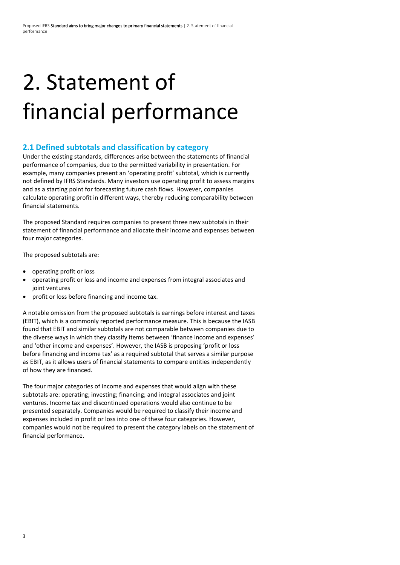# 2. Statement of financial performance

### **2.1 Defined subtotals and classification by category**

Under the existing standards, differences arise between the statements of financial performance of companies, due to the permitted variability in presentation. For example, many companies present an 'operating profit' subtotal, which is currently not defined by IFRS Standards. Many investors use operating profit to assess margins and as a starting point for forecasting future cash flows. However, companies calculate operating profit in different ways, thereby reducing comparability between financial statements.

The proposed Standard requires companies to present three new subtotals in their statement of financial performance and allocate their income and expenses between four major categories.

The proposed subtotals are:

- operating profit or loss
- operating profit or loss and income and expenses from integral associates and joint ventures
- profit or loss before financing and income tax.

A notable omission from the proposed subtotals is earnings before interest and taxes (EBIT), which is a commonly reported performance measure. This is because the IASB found that EBIT and similar subtotals are not comparable between companies due to the diverse ways in which they classify items between 'finance income and expenses' and 'other income and expenses'. However, the IASB is proposing 'profit or loss before financing and income tax' as a required subtotal that serves a similar purpose as EBIT, as it allows users of financial statements to compare entities independently of how they are financed.

The four major categories of income and expenses that would align with these subtotals are: operating; investing; financing; and integral associates and joint ventures. Income tax and discontinued operations would also continue to be presented separately. Companies would be required to classify their income and expenses included in profit or loss into one of these four categories. However, companies would not be required to present the category labels on the statement of financial performance.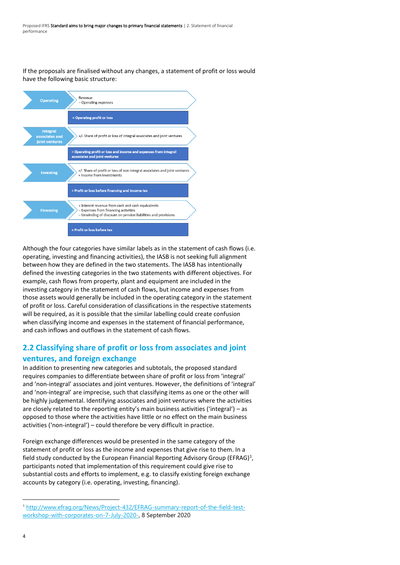If the proposals are finalised without any changes, a statement of profit or loss would have the following basic structure:



Although the four categories have similar labels as in the statement of cash flows (i.e. operating, investing and financing activities), the IASB is not seeking full alignment between how they are defined in the two statements. The IASB has intentionally defined the investing categories in the two statements with different objectives. For example, cash flows from property, plant and equipment are included in the investing category in the statement of cash flows, but income and expenses from those assets would generally be included in the operating category in the statement of profit or loss. Careful consideration of classifications in the respective statements will be required, as it is possible that the similar labelling could create confusion when classifying income and expenses in the statement of financial performance, and cash inflows and outflows in the statement of cash flows.

### **2.2 Classifying share of profit or loss from associates and joint ventures, and foreign exchange**

In addition to presenting new categories and subtotals, the proposed standard requires companies to differentiate between share of profit or loss from 'integral' and 'non-integral' associates and joint ventures. However, the definitions of 'integral' and 'non-integral' are imprecise, such that classifying items as one or the other will be highly judgemental. Identifying associates and joint ventures where the activities are closely related to the reporting entity's main business activities ('integral') – as opposed to those where the activities have little or no effect on the main business activities ('non-integral') – could therefore be very difficult in practice.

Foreign exchange differences would be presented in the same category of the statement of profit or loss as the income and expenses that give rise to them. In a field study conducted by the European Financial Reporting Advisory Group (EFRAG)<sup>1</sup>, participants noted that implementation of this requirement could give rise to substantial costs and efforts to implement, e.g. to classify existing foreign exchange accounts by category (i.e. operating, investing, financing).

<sup>1</sup> [http://www.efrag.org/News/Project-432/EFRAG-summary-report-of-the-field-test](http://www.efrag.org/News/Project-432/EFRAG-summary-report-of-the-field-test-workshop-with-corporates-on-7-July-2020-)[workshop-with-corporates-on-7-July-2020-,](http://www.efrag.org/News/Project-432/EFRAG-summary-report-of-the-field-test-workshop-with-corporates-on-7-July-2020-) 8 September 2020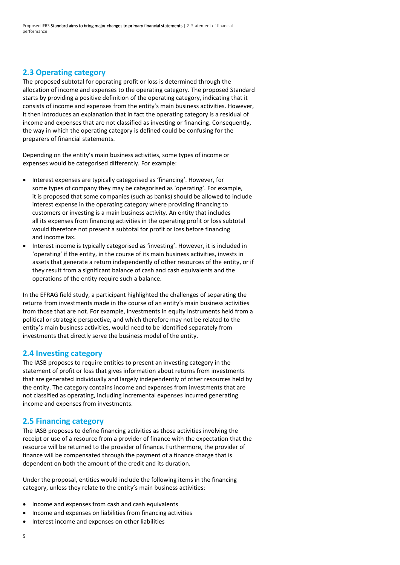### **2.3 Operating category**

The proposed subtotal for operating profit or loss is determined through the allocation of income and expenses to the operating category. The proposed Standard starts by providing a positive definition of the operating category, indicating that it consists of income and expenses from the entity's main business activities. However, it then introduces an explanation that in fact the operating category is a residual of income and expenses that are not classified as investing or financing. Consequently, the way in which the operating category is defined could be confusing for the preparers of financial statements.

Depending on the entity's main business activities, some types of income or expenses would be categorised differently. For example:

- Interest expenses are typically categorised as 'financing'. However, for some types of company they may be categorised as 'operating'. For example, it is proposed that some companies (such as banks) should be allowed to include interest expense in the operating category where providing financing to customers or investing is a main business activity. An entity that includes all its expenses from financing activities in the operating profit or loss subtotal would therefore not present a subtotal for profit or loss before financing and income tax.
- Interest income is typically categorised as 'investing'. However, it is included in 'operating' if the entity, in the course of its main business activities, invests in assets that generate a return independently of other resources of the entity, or if they result from a significant balance of cash and cash equivalents and the operations of the entity require such a balance.

In the EFRAG field study, a participant highlighted the challenges of separating the returns from investments made in the course of an entity's main business activities from those that are not. For example, investments in equity instruments held from a political or strategic perspective, and which therefore may not be related to the entity's main business activities, would need to be identified separately from investments that directly serve the business model of the entity.

### **2.4 Investing category**

The IASB proposes to require entities to present an investing category in the statement of profit or loss that gives information about returns from investments that are generated individually and largely independently of other resources held by the entity. The category contains income and expenses from investments that are not classified as operating, including incremental expenses incurred generating income and expenses from investments.

#### **2.5 Financing category**

The IASB proposes to define financing activities as those activities involving the receipt or use of a resource from a provider of finance with the expectation that the resource will be returned to the provider of finance. Furthermore, the provider of finance will be compensated through the payment of a finance charge that is dependent on both the amount of the credit and its duration.

Under the proposal, entities would include the following items in the financing category, unless they relate to the entity's main business activities:

- Income and expenses from cash and cash equivalents
- Income and expenses on liabilities from financing activities
- Interest income and expenses on other liabilities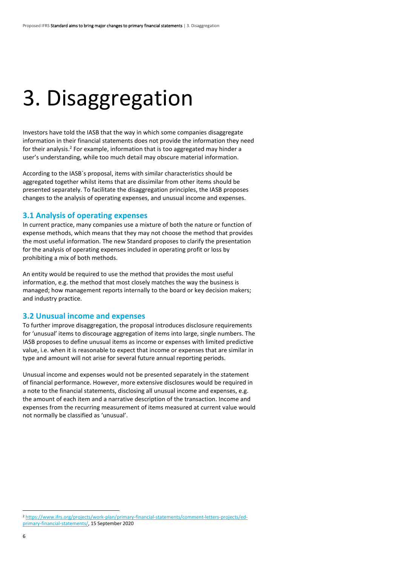## 3. Disaggregation

Investors have told the IASB that the way in which some companies disaggregate information in their financial statements does not provide the information they need for their analysis.<sup>2</sup> For example, information that is too aggregated may hinder a user's understanding, while too much detail may obscure material information.

According to the IASB`s proposal, items with similar characteristics should be aggregated together whilst items that are dissimilar from other items should be presented separately. To facilitate the disaggregation principles, the IASB proposes changes to the analysis of operating expenses, and unusual income and expenses.

#### **3.1 Analysis of operating expenses**

In current practice, many companies use a mixture of both the nature or function of expense methods, which means that they may not choose the method that provides the most useful information. The new Standard proposes to clarify the presentation for the analysis of operating expenses included in operating profit or loss by prohibiting a mix of both methods.

An entity would be required to use the method that provides the most useful information, e.g. the method that most closely matches the way the business is managed; how management reports internally to the board or key decision makers; and industry practice.

#### **3.2 Unusual income and expenses**

To further improve disaggregation, the proposal introduces disclosure requirements for 'unusual' items to discourage aggregation of items into large, single numbers. The IASB proposes to define unusual items as income or expenses with limited predictive value, i.e. when it is reasonable to expect that income or expenses that are similar in type and amount will not arise for several future annual reporting periods.

Unusual income and expenses would not be presented separately in the statement of financial performance. However, more extensive disclosures would be required in a note to the financial statements, disclosing all unusual income and expenses, e.g. the amount of each item and a narrative description of the transaction. Income and expenses from the recurring measurement of items measured at current value would not normally be classified as 'unusual'.

<sup>2</sup> [https://www.ifrs.org/projects/work-plan/primary-financial-statements/comment-letters-projects/ed](https://www.ifrs.org/projects/work-plan/primary-financial-statements/comment-letters-projects/ed-primary-financial-statements/)[primary-financial-statements/,](https://www.ifrs.org/projects/work-plan/primary-financial-statements/comment-letters-projects/ed-primary-financial-statements/) 15 September 2020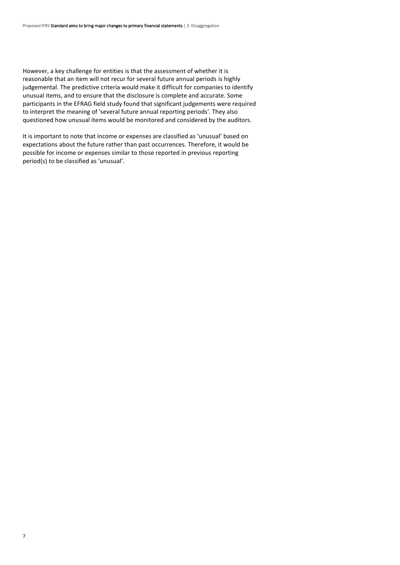However, a key challenge for entities is that the assessment of whether it is reasonable that an item will not recur for several future annual periods is highly judgemental. The predictive criteria would make it difficult for companies to identify unusual items, and to ensure that the disclosure is complete and accurate. Some participants in the EFRAG field study found that significant judgements were required to interpret the meaning of 'several future annual reporting periods'. They also questioned how unusual items would be monitored and considered by the auditors.

It is important to note that income or expenses are classified as 'unusual' based on expectations about the future rather than past occurrences. Therefore, it would be possible for income or expenses similar to those reported in previous reporting period(s) to be classified as 'unusual'.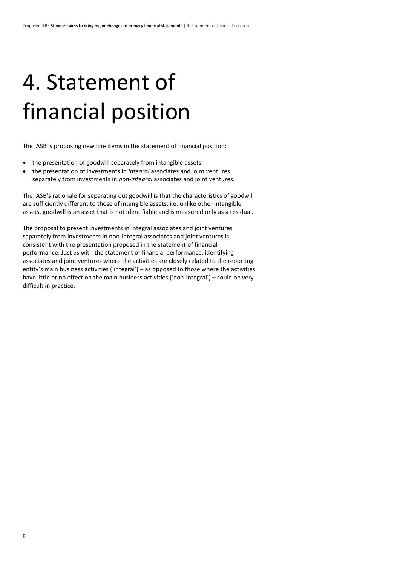## 4. Statement of financial position

The IASB is proposing new line items in the statement of financial position:

- the presentation of goodwill separately from intangible assets
- the presentation of investments in *integral* associates and joint ventures separately from investments in *non-integral* associates and joint ventures.

The IASB's rationale for separating out goodwill is that the characteristics of goodwill are sufficiently different to those of intangible assets, i.e. unlike other intangible assets, goodwill is an asset that is not identifiable and is measured only as a residual.

The proposal to present investments in integral associates and joint ventures separately from investments in non-integral associates and joint ventures is consistent with the presentation proposed in the statement of financial performance. Just as with the statement of financial performance, identifying associates and joint ventures where the activities are closely related to the reporting entity's main business activities ('integral') – as opposed to those where the activities have little or no effect on the main business activities ('non-integral') – could be very difficult in practice.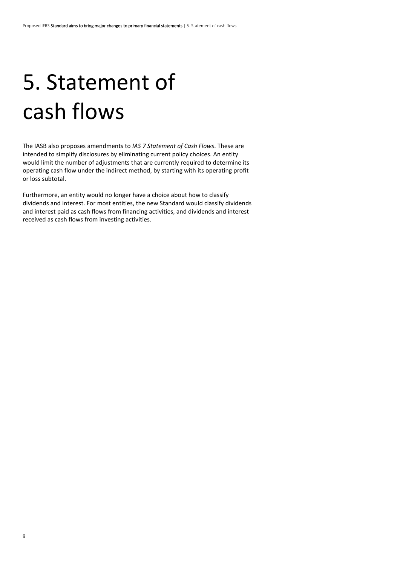# 5. Statement of cash flows

The IASB also proposes amendments to *IAS 7 Statement of Cash Flows*. These are intended to simplify disclosures by eliminating current policy choices. An entity would limit the number of adjustments that are currently required to determine its operating cash flow under the indirect method, by starting with its operating profit or loss subtotal.

Furthermore, an entity would no longer have a choice about how to classify dividends and interest. For most entities, the new Standard would classify dividends and interest paid as cash flows from financing activities, and dividends and interest received as cash flows from investing activities.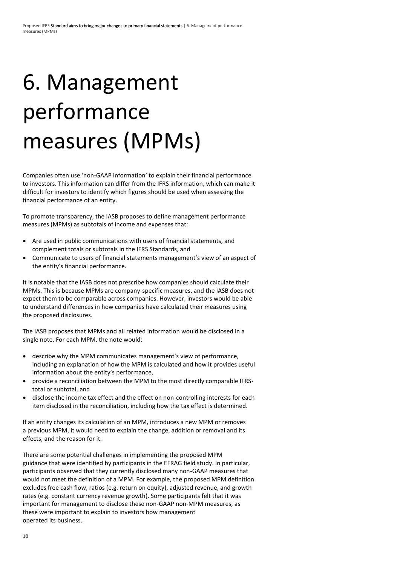# 6. Management performance measures (MPMs)

Companies often use 'non-GAAP information' to explain their financial performance to investors. This information can differ from the IFRS information, which can make it difficult for investors to identify which figures should be used when assessing the financial performance of an entity.

To promote transparency, the IASB proposes to define management performance measures (MPMs) as subtotals of income and expenses that:

- Are used in public communications with users of financial statements, and complement totals or subtotals in the IFRS Standards, and
- Communicate to users of financial statements management's view of an aspect of the entity's financial performance.

It is notable that the IASB does not prescribe how companies should calculate their MPMs. This is because MPMs are company-specific measures, and the IASB does not expect them to be comparable across companies. However, investors would be able to understand differences in how companies have calculated their measures using the proposed disclosures.

The IASB proposes that MPMs and all related information would be disclosed in a single note. For each MPM, the note would:

- describe why the MPM communicates management's view of performance, including an explanation of how the MPM is calculated and how it provides useful information about the entity's performance,
- provide a reconciliation between the MPM to the most directly comparable IFRStotal or subtotal, and
- disclose the income tax effect and the effect on non-controlling interests for each item disclosed in the reconciliation, including how the tax effect is determined.

If an entity changes its calculation of an MPM, introduces a new MPM or removes a previous MPM, it would need to explain the change, addition or removal and its effects, and the reason for it.

There are some potential challenges in implementing the proposed MPM guidance that were identified by participants in the EFRAG field study. In particular, participants observed that they currently disclosed many non-GAAP measures that would not meet the definition of a MPM. For example, the proposed MPM definition excludes free cash flow, ratios (e.g. return on equity), adjusted revenue, and growth rates (e.g. constant currency revenue growth). Some participants felt that it was important for management to disclose these non-GAAP non-MPM measures, as these were important to explain to investors how management operated its business.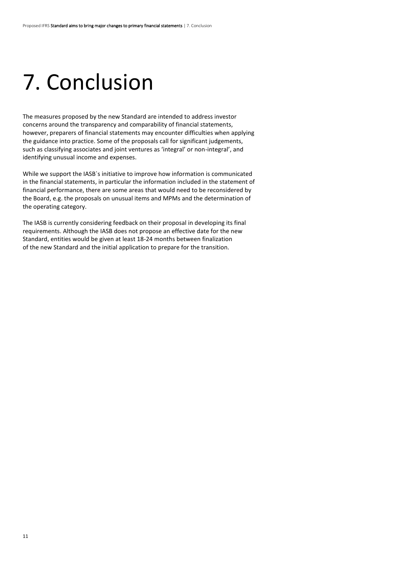## 7. Conclusion

The measures proposed by the new Standard are intended to address investor concerns around the transparency and comparability of financial statements, however, preparers of financial statements may encounter difficulties when applying the guidance into practice. Some of the proposals call for significant judgements, such as classifying associates and joint ventures as 'integral' or non-integral', and identifying unusual income and expenses.

While we support the IASB`s initiative to improve how information is communicated in the financial statements, in particular the information included in the statement of financial performance, there are some areas that would need to be reconsidered by the Board, e.g. the proposals on unusual items and MPMs and the determination of the operating category.

The IASB is currently considering feedback on their proposal in developing its final requirements. Although the IASB does not propose an effective date for the new Standard, entities would be given at least 18-24 months between finalization of the new Standard and the initial application to prepare for the transition.